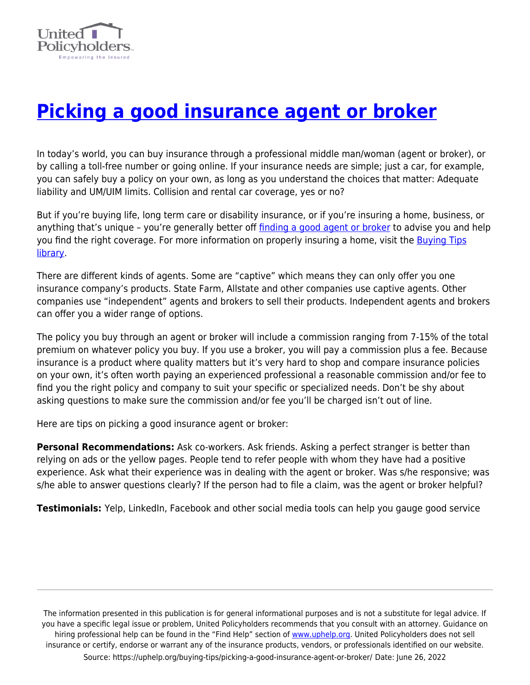

# **[Picking a good insurance agent or broker](https://uphelp.org/buying-tips/picking-a-good-insurance-agent-or-broker/)**

In today's world, you can buy insurance through a professional middle man/woman (agent or broker), or by calling a toll-free number or going online. If your insurance needs are simple; just a car, for example, you can safely buy a policy on your own, as long as you understand the choices that matter: Adequate liability and UM/UIM limits. Collision and rental car coverage, yes or no?

But if you're buying life, long term care or disability insurance, or if you're insuring a home, business, or anything that's unique – you're generally better off [finding a good agent or broker](https://yapacopia.com/quote-request-form/?charity=united-policyholders-2&direct=true) to advise you and help you find the right coverage. For more information on properly insuring a home, visit the **[Buying Tips](https://uphelp.org/preparedness/)** [library](https://uphelp.org/preparedness/).

There are different kinds of agents. Some are "captive" which means they can only offer you one insurance company's products. State Farm, Allstate and other companies use captive agents. Other companies use "independent" agents and brokers to sell their products. Independent agents and brokers can offer you a wider range of options.

The policy you buy through an agent or broker will include a commission ranging from 7-15% of the total premium on whatever policy you buy. If you use a broker, you will pay a commission plus a fee. Because insurance is a product where quality matters but it's very hard to shop and compare insurance policies on your own, it's often worth paying an experienced professional a reasonable commission and/or fee to find you the right policy and company to suit your specific or specialized needs. Don't be shy about asking questions to make sure the commission and/or fee you'll be charged isn't out of line.

Here are tips on picking a good insurance agent or broker:

**Personal Recommendations:** Ask co-workers. Ask friends. Asking a perfect stranger is better than relying on ads or the yellow pages. People tend to refer people with whom they have had a positive experience. Ask what their experience was in dealing with the agent or broker. Was s/he responsive; was s/he able to answer questions clearly? If the person had to file a claim, was the agent or broker helpful?

**Testimonials:** Yelp, LinkedIn, Facebook and other social media tools can help you gauge good service

The information presented in this publication is for general informational purposes and is not a substitute for legal advice. If you have a specific legal issue or problem, United Policyholders recommends that you consult with an attorney. Guidance on hiring professional help can be found in the "Find Help" section of [www.uphelp.org.](http://www.uphelp.org/) United Policyholders does not sell insurance or certify, endorse or warrant any of the insurance products, vendors, or professionals identified on our website. Source: https://uphelp.org/buying-tips/picking-a-good-insurance-agent-or-broker/ Date: June 26, 2022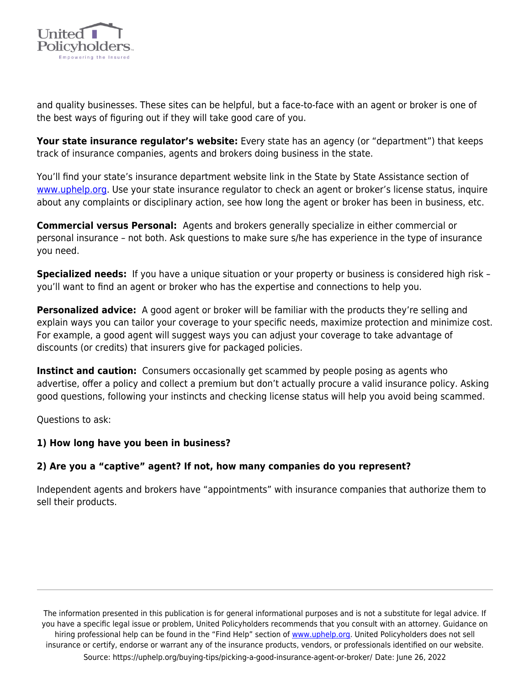

and quality businesses. These sites can be helpful, but a face-to-face with an agent or broker is one of the best ways of figuring out if they will take good care of you.

**Your state insurance regulator's website:** Every state has an agency (or "department") that keeps track of insurance companies, agents and brokers doing business in the state.

You'll find your state's insurance department website link in the State by State Assistance section of [www.uphelp.org](http://www.uphelp.org). Use your state insurance regulator to check an agent or broker's license status, inquire about any complaints or disciplinary action, see how long the agent or broker has been in business, etc.

**Commercial versus Personal:** Agents and brokers generally specialize in either commercial or personal insurance – not both. Ask questions to make sure s/he has experience in the type of insurance you need.

**Specialized needs:** If you have a unique situation or your property or business is considered high risk – you'll want to find an agent or broker who has the expertise and connections to help you.

**Personalized advice:** A good agent or broker will be familiar with the products they're selling and explain ways you can tailor your coverage to your specific needs, maximize protection and minimize cost. For example, a good agent will suggest ways you can adjust your coverage to take advantage of discounts (or credits) that insurers give for packaged policies.

**Instinct and caution:** Consumers occasionally get scammed by people posing as agents who advertise, offer a policy and collect a premium but don't actually procure a valid insurance policy. Asking good questions, following your instincts and checking license status will help you avoid being scammed.

Questions to ask:

## **1) How long have you been in business?**

## **2) Are you a "captive" agent? If not, how many companies do you represent?**

Independent agents and brokers have "appointments" with insurance companies that authorize them to sell their products.

The information presented in this publication is for general informational purposes and is not a substitute for legal advice. If you have a specific legal issue or problem, United Policyholders recommends that you consult with an attorney. Guidance on hiring professional help can be found in the "Find Help" section of [www.uphelp.org.](http://www.uphelp.org/) United Policyholders does not sell insurance or certify, endorse or warrant any of the insurance products, vendors, or professionals identified on our website. Source: https://uphelp.org/buying-tips/picking-a-good-insurance-agent-or-broker/ Date: June 26, 2022